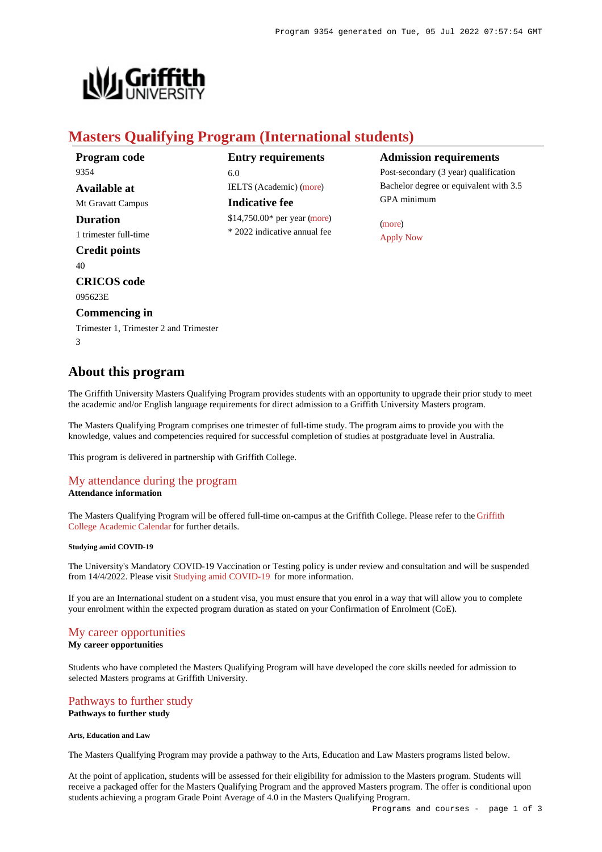

# **Masters Qualifying Program (International students)**

| Program code                           |
|----------------------------------------|
| 9354                                   |
| Available at                           |
| Mt Gravatt Campus                      |
| Duration                               |
| 1 trimester full-time                  |
| <b>Credit points</b>                   |
| 40                                     |
| <b>CRICOS</b> code                     |
| 095623E                                |
| <b>Commencing in</b>                   |
| Trimester 1, Trimester 2 and Trimester |
| 3                                      |

# **Entry requirements** 6.0 IELTS (Academic) [\(more](https://www148.griffith.edu.au/programs-courses/Program/9354/HowToApply/International#language)) **Indicative fee**

\$14,750.00\* per year [\(more](https://www148.griffith.edu.au/programs-courses/Program/9354/Overview/International#fees)) \* 2022 indicative annual fee

# **Admission requirements**

Post-secondary (3 year) qualification Bachelor degree or equivalent with 3.5 GPA minimum

[\(more](https://www148.griffith.edu.au/programs-courses/Program/9354/HowToApply/International#can-i-apply)) [Apply Now](https://www148.griffith.edu.au/programs-courses/Program/9354/HowToApply/International#process)

# **About this program**

The Griffith University Masters Qualifying Program provides students with an opportunity to upgrade their prior study to meet the academic and/or English language requirements for direct admission to a Griffith University Masters program.

The Masters Qualifying Program comprises one trimester of full-time study. The program aims to provide you with the knowledge, values and competencies required for successful completion of studies at postgraduate level in Australia.

This program is delivered in partnership with Griffith College.

## [My attendance during the program](https://www148.griffith.edu.au/programs-courses/Program/9354/Overview/Domestic#attendance) **Attendance information**

The Masters Qualifying Program will be offered full-time on-campus at the Griffith College. Please refer to the [Griffith](https://www.griffith.edu.au/college/admissions/important-dates) [College Academic Calendar](https://www.griffith.edu.au/college/admissions/important-dates) for further details.

## **Studying amid COVID-19**

The University's Mandatory COVID-19 Vaccination or Testing policy is under review and consultation and will be suspended from 14/4/2022. Please visit [Studying amid COVID-19](https://www.griffith.edu.au/coronavirus/studying-amid-covid-19) for more information.

If you are an International student on a student visa, you must ensure that you enrol in a way that will allow you to complete your enrolment within the expected program duration as stated on your Confirmation of Enrolment (CoE).

# [My career opportunities](https://www148.griffith.edu.au/programs-courses/Program/9354/Overview/Domestic#opportunities)

**My career opportunities**

Students who have completed the Masters Qualifying Program will have developed the core skills needed for admission to selected Masters programs at Griffith University.

## [Pathways to further study](https://www148.griffith.edu.au/programs-courses/Program/9354/Overview/Domestic#pathways) **Pathways to further study**

## **Arts, Education and Law**

The Masters Qualifying Program may provide a pathway to the Arts, Education and Law Masters programs listed below.

At the point of application, students will be assessed for their eligibility for admission to the Masters program. Students will receive a packaged offer for the Masters Qualifying Program and the approved Masters program. The offer is conditional upon students achieving a program Grade Point Average of 4.0 in the Masters Qualifying Program.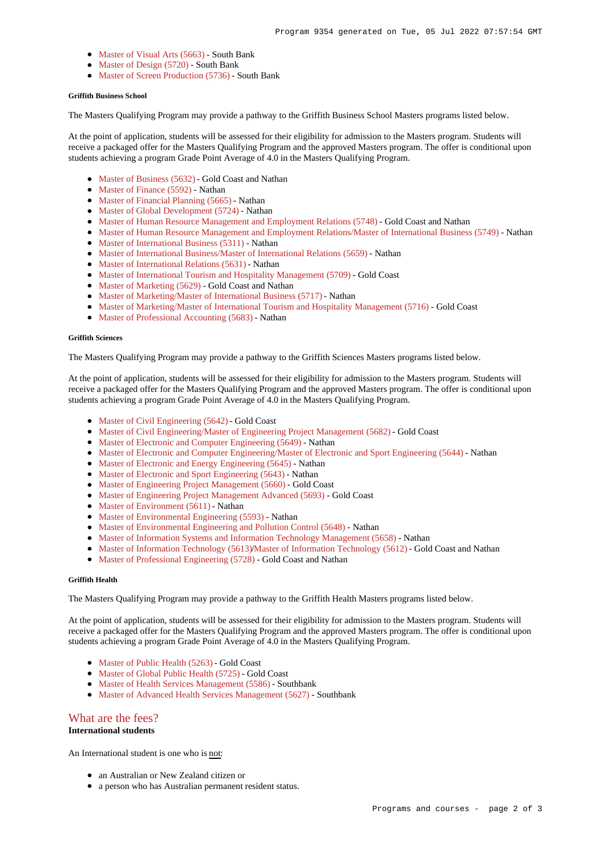- [Master of Visual Arts \(5663\)](https://www148.griffith.edu.au/Search/Results?SearchText=5663) South Bank
- [Master of Design \(5720\)](https://www148.griffith.edu.au/Search/Results?SearchText=5720) South Bank
- [Master of Screen Production \(5736\)](https://www148.griffith.edu.au/Search/Results?SearchText=5736) South Bank

### **Griffith Business School**

The Masters Qualifying Program may provide a pathway to the Griffith Business School Masters programs listed below.

At the point of application, students will be assessed for their eligibility for admission to the Masters program. Students will receive a packaged offer for the Masters Qualifying Program and the approved Masters program. The offer is conditional upon students achieving a program Grade Point Average of 4.0 in the Masters Qualifying Program.

- [Master of Business \(5632\)](https://www148.griffith.edu.au/Search/Results?SearchText=5632) Gold Coast and Nathan
- [Master of Finance \(5592\)](https://www148.griffith.edu.au/Search/Results?SearchText=5592) Nathan
- [Master of Financial Planning \(5665\)](https://www148.griffith.edu.au/Search/Results?SearchText=5665) Nathan
- [Master of Global Development \(5724\)](https://www148.griffith.edu.au/Search/Results?SearchText=5724) Nathan
- [Master of Human Resource Management and Employment Relations \(5748\)](https://www148.griffith.edu.au/Search/Results?SearchText=5748) Gold Coast and Nathan
- [Master of Human Resource Management and Employment Relations/Master of International Business \(5749\)](https://www148.griffith.edu.au/Search/Results?SearchText=5749) Nathan
- [Master of International Business \(5311\)](https://www148.griffith.edu.au/Search/Results?SearchText=5311) Nathan
- [Master of International Business/Master of International Relations \(5659\)](https://www148.griffith.edu.au/Search/Results?SearchText=5659) Nathan
- [Master of International Relations \(5631\)](https://www148.griffith.edu.au/Search/Results?SearchText=5631) Nathan
- [Master of International Tourism and Hospitality Management \(5709\)](https://www148.griffith.edu.au/Search/Results?SearchText=5709) Gold Coast
- [Master of Marketing \(5629\)](https://www148.griffith.edu.au/Search/Results?SearchText=5629) Gold Coast and Nathan
- [Master of Marketing/Master of International Business \(5717\)](https://www148.griffith.edu.au/Search/Results?SearchText=5717) Nathan
- [Master of Marketing/Master of International Tourism and Hospitality Management \(5716\)](https://www148.griffith.edu.au/Search/Results?SearchText=5716) Gold Coast
- [Master of Professional Accounting \(5683\)](https://www148.griffith.edu.au/Search/Results?SearchText=5683) Nathan

## **Griffith Sciences**

The Masters Qualifying Program may provide a pathway to the Griffith Sciences Masters programs listed below.

At the point of application, students will be assessed for their eligibility for admission to the Masters program. Students will receive a packaged offer for the Masters Qualifying Program and the approved Masters program. The offer is conditional upon students achieving a program Grade Point Average of 4.0 in the Masters Qualifying Program.

- [Master of Civil Engineering \(5642\)](https://www148.griffith.edu.au/Search/Results?SearchText=5642) Gold Coast
- [Master of Civil Engineering/Master of Engineering Project Management \(5682\)](https://www148.griffith.edu.au/Search/Results?SearchText=5682) Gold Coast
- [Master of Electronic and Computer Engineering \(5649\)](https://www148.griffith.edu.au/Search/Results?SearchText=5649) Nathan
- [Master of Electronic and Computer Engineering/Master of Electronic and Sport Engineering \(5644\)](https://www148.griffith.edu.au/Search/Results?SearchText=5644) Nathan
- [Master of Electronic and Energy Engineering \(5645\)](https://www148.griffith.edu.au/Search/Results?SearchText=5645) Nathan
- [Master of Electronic and Sport Engineering \(5643\)](https://www148.griffith.edu.au/Search/Results?SearchText=5643) Nathan
- [Master of Engineering Project Management \(5660\)](https://www148.griffith.edu.au/Search/Results?SearchText=5660) Gold Coast
- [Master of Engineering Project Management Advanced \(5693\)](https://www148.griffith.edu.au/Search/Results?SearchText=5693) Gold Coast
- [Master of Environment \(5611\)](https://www148.griffith.edu.au/Search/Results?SearchText=5611) Nathan
- [Master of Environmental Engineering \(5593\)](https://www148.griffith.edu.au/Search/Results?SearchText=5593) Nathan
- [Master of Environmental Engineering and Pollution Control \(5648\)](https://www148.griffith.edu.au/Search/Results?SearchText=5648) Nathan
- [Master of Information Systems and Information Technology Management \(5658\)](https://www148.griffith.edu.au/Search/Results?SearchText=5658) Nathan
- [Master of Information Technology \(5613\)](https://www148.griffith.edu.au/Search/Results?SearchText=5613)[/Master of Information Technology \(5612\)](https://www148.griffith.edu.au/Search/Results?SearchText=5612) Gold Coast and Nathan
- [Master of Professional Engineering \(5728\)](https://www148.griffith.edu.au/Search/Results?SearchText=5728) Gold Coast and Nathan

## **Griffith Health**

The Masters Qualifying Program may provide a pathway to the Griffith Health Masters programs listed below.

At the point of application, students will be assessed for their eligibility for admission to the Masters program. Students will receive a packaged offer for the Masters Qualifying Program and the approved Masters program. The offer is conditional upon students achieving a program Grade Point Average of 4.0 in the Masters Qualifying Program.

- [Master of Public Health \(5263\)](https://www148.griffith.edu.au/Search/Results?SearchText=5263) Gold Coast
- [Master of Global Public Health \(5725\)](https://www148.griffith.edu.au/Search/Results?SearchText=5725) Gold Coast
- [Master of Health Services Management \(5586\)](https://www148.griffith.edu.au/Search/Results?SearchText=5586) Southbank
- [Master of Advanced Health Services Management \(5627\)](https://www148.griffith.edu.au/Search/Results?SearchText=5627) Southbank

## [What are the fees?](https://www148.griffith.edu.au/programs-courses/Program/9354/Overview/Domestic#fees)

## **International students**

An International student is one who is not:

- an Australian or New Zealand citizen or
- a person who has Australian permanent resident status.